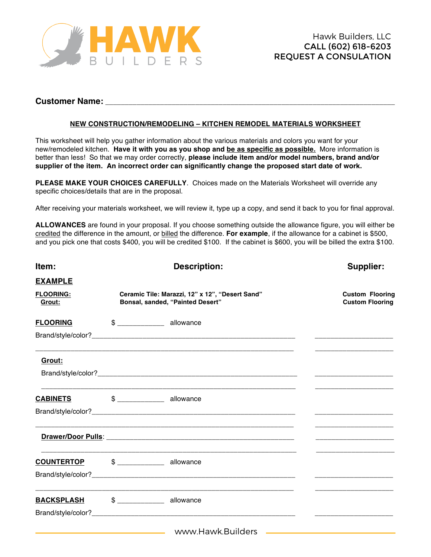

## **Customer Name:**

## **NEW CONSTRUCTION/REMODELING – KITCHEN REMODEL MATERIALS WORKSHEET**

This worksheet will help you gather information about the various materials and colors you want for your new/remodeled kitchen. **Have it with you as you shop and be as specific as possible.** More information is better than less! So that we may order correctly, **please include item and/or model numbers, brand and/or supplier of the item. An incorrect order can significantly change the proposed start date of work.** 

**PLEASE MAKE YOUR CHOICES CAREFULLY**. Choices made on the Materials Worksheet will override any specific choices/details that are in the proposal.

After receiving your materials worksheet, we will review it, type up a copy, and send it back to you for final approval.

**ALLOWANCES** are found in your proposal. If you choose something outside the allowance figure, you will either be credited the difference in the amount, or billed the difference. **For example**, if the allowance for a cabinet is \$500, and you pick one that costs \$400, you will be credited \$100. If the cabinet is \$600, you will be billed the extra \$100.

| Item:                      | <b>Description:</b>                                                                 | Supplier:                                                                                                            |
|----------------------------|-------------------------------------------------------------------------------------|----------------------------------------------------------------------------------------------------------------------|
| <b>EXAMPLE</b>             |                                                                                     |                                                                                                                      |
| <b>FLOORING:</b><br>Grout: | Ceramic Tile: Marazzi, 12" x 12", "Desert Sand"<br>Bonsal, sanded, "Painted Desert" | <b>Custom Flooring</b><br><b>Custom Flooring</b>                                                                     |
| <b>FLOORING</b>            | $$$ allowance                                                                       |                                                                                                                      |
|                            |                                                                                     |                                                                                                                      |
| Grout:                     |                                                                                     |                                                                                                                      |
|                            |                                                                                     |                                                                                                                      |
| <b>CABINETS</b>            | $\frac{1}{2}$ $\frac{1}{2}$ allowance                                               |                                                                                                                      |
|                            |                                                                                     |                                                                                                                      |
|                            |                                                                                     |                                                                                                                      |
| <b>COUNTERTOP</b>          | $$$ ______________ allowance                                                        |                                                                                                                      |
|                            |                                                                                     |                                                                                                                      |
| <b>BACKSPLASH</b>          | \$ allowance                                                                        |                                                                                                                      |
|                            |                                                                                     |                                                                                                                      |
|                            | www.Hawk.Builders                                                                   | <u> 1980 - Johann Barn, mars eta bat erroman erroman erroman erroman erroman erroman erroman erroman erroman err</u> |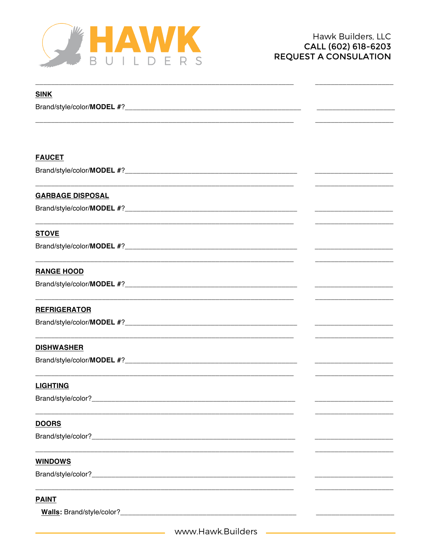

| <b>SINK</b>             |                                                                                                                       |
|-------------------------|-----------------------------------------------------------------------------------------------------------------------|
|                         |                                                                                                                       |
|                         |                                                                                                                       |
|                         |                                                                                                                       |
|                         |                                                                                                                       |
| <b>FAUCET</b>           |                                                                                                                       |
|                         |                                                                                                                       |
|                         |                                                                                                                       |
| <b>GARBAGE DISPOSAL</b> |                                                                                                                       |
|                         | <u> 1989 - Johann Barbara, martin da kasar Amerikaan kasar dalam kasar dalam kasar dalam kasar dalam kasar dalam </u> |
|                         |                                                                                                                       |
| <b>STOVE</b>            |                                                                                                                       |
|                         |                                                                                                                       |
|                         |                                                                                                                       |
| <b>RANGE HOOD</b>       |                                                                                                                       |
|                         | <u> 1980 - Johann Barbara, martxa al III-lea (h. 1980).</u>                                                           |
|                         |                                                                                                                       |
| <b>REFRIGERATOR</b>     |                                                                                                                       |
|                         | <u> 1980 - Johann Barn, mars eta bat eta bat erroman erroman erroman erroman erroman erroman erroman erroman err</u>  |
|                         |                                                                                                                       |
| <b>DISHWASHER</b>       |                                                                                                                       |
|                         |                                                                                                                       |
|                         |                                                                                                                       |
| <b>LIGHTING</b>         |                                                                                                                       |
| Brand/style/color?      |                                                                                                                       |
|                         |                                                                                                                       |
| <b>DOORS</b>            |                                                                                                                       |
|                         |                                                                                                                       |
|                         |                                                                                                                       |
| <b>WINDOWS</b>          |                                                                                                                       |
|                         |                                                                                                                       |
|                         |                                                                                                                       |
| <b>PAINT</b>            |                                                                                                                       |
|                         |                                                                                                                       |
|                         |                                                                                                                       |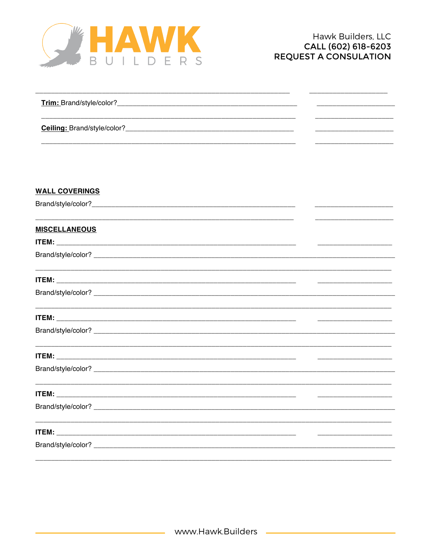

| Trim: Brand/style/color?    |  |
|-----------------------------|--|
|                             |  |
| Ceiling: Brand/style/color? |  |
|                             |  |

## **WALL COVERINGS**

## **MISCELLANEOUS**